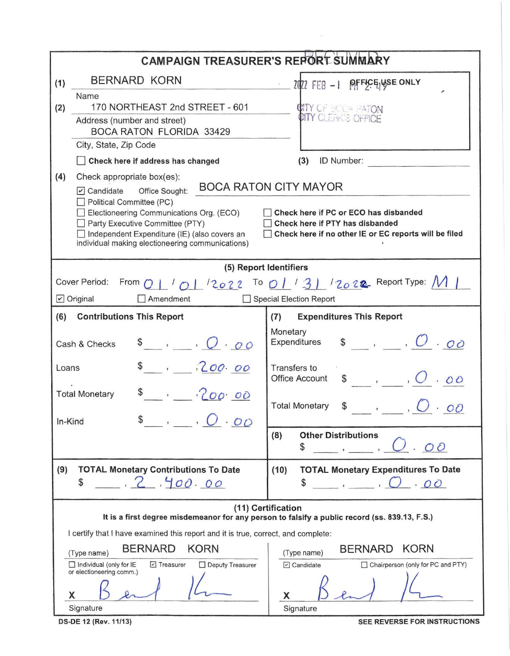| <b>CAMPAIGN TREASURER'S REPORT SUMMARY</b>                                                                          |                                                                                                                                                                                                                                                                                                  |                                                                                        |  |  |  |  |  |  |  |
|---------------------------------------------------------------------------------------------------------------------|--------------------------------------------------------------------------------------------------------------------------------------------------------------------------------------------------------------------------------------------------------------------------------------------------|----------------------------------------------------------------------------------------|--|--|--|--|--|--|--|
| (1)                                                                                                                 | <b>BERNARD KORN</b>                                                                                                                                                                                                                                                                              | $\frac{1}{20}$ 2022 FEB - 1 PFFEELUSE ONLY                                             |  |  |  |  |  |  |  |
|                                                                                                                     | Name                                                                                                                                                                                                                                                                                             |                                                                                        |  |  |  |  |  |  |  |
| (2)                                                                                                                 | 170 NORTHEAST 2nd STREET - 601                                                                                                                                                                                                                                                                   | <b>CATY OF EXAGE HATON</b><br>CITY CLEANS OFFICE                                       |  |  |  |  |  |  |  |
|                                                                                                                     | Address (number and street)<br><b>BOCA RATON FLORIDA 33429</b>                                                                                                                                                                                                                                   |                                                                                        |  |  |  |  |  |  |  |
|                                                                                                                     | City, State, Zip Code                                                                                                                                                                                                                                                                            |                                                                                        |  |  |  |  |  |  |  |
|                                                                                                                     | Check here if address has changed                                                                                                                                                                                                                                                                | (3)<br>ID Number:                                                                      |  |  |  |  |  |  |  |
| (4)                                                                                                                 | Check appropriate box(es):<br><b>BOCA RATON CITY MAYOR</b><br>$\triangledown$ Candidate<br>Office Sought:<br>Political Committee (PC)<br>Electioneering Communications Org. (ECO)<br>Check here if PC or ECO has disbanded<br>Party Executive Committee (PTY)<br>Check here if PTY has disbanded |                                                                                        |  |  |  |  |  |  |  |
|                                                                                                                     | Check here if no other IE or EC reports will be filed<br>Independent Expenditure (IE) (also covers an<br>individual making electioneering communications)                                                                                                                                        |                                                                                        |  |  |  |  |  |  |  |
| (5) Report Identifiers                                                                                              |                                                                                                                                                                                                                                                                                                  |                                                                                        |  |  |  |  |  |  |  |
|                                                                                                                     | Cover Period:                                                                                                                                                                                                                                                                                    | From $Q \perp' Q \perp$ $2022$ To $Q \perp' 3$ $2022$ Report Type: M                   |  |  |  |  |  |  |  |
|                                                                                                                     | $\triangleright$ Original<br>Amendment                                                                                                                                                                                                                                                           | <b>Special Election Report</b>                                                         |  |  |  |  |  |  |  |
| (6)                                                                                                                 | <b>Contributions This Report</b>                                                                                                                                                                                                                                                                 | <b>Expenditures This Report</b><br>(7)                                                 |  |  |  |  |  |  |  |
|                                                                                                                     | $\bullet$ , $O \cdot \sigma \circ$<br>Cash & Checks                                                                                                                                                                                                                                              | Monetary<br>$\mathsf{s}$ , $\mathsf{C} \cdot \mathsf{oo}$<br>Expenditures              |  |  |  |  |  |  |  |
| Loans                                                                                                               | , 200.00                                                                                                                                                                                                                                                                                         | Transfers to<br>$\frac{1}{2}$ , $\frac{1}{2}$<br><b>Office Account</b>                 |  |  |  |  |  |  |  |
|                                                                                                                     | $s = 20000$<br><b>Total Monetary</b>                                                                                                                                                                                                                                                             | <b>Total Monetary</b><br>$\frac{1}{\sqrt{2}}$ , $\frac{1}{\sqrt{2}}$<br>O <sub>O</sub> |  |  |  |  |  |  |  |
| In-Kind                                                                                                             | 0.00                                                                                                                                                                                                                                                                                             | (8)<br><b>Other Distributions</b>                                                      |  |  |  |  |  |  |  |
|                                                                                                                     |                                                                                                                                                                                                                                                                                                  | O<br>\$                                                                                |  |  |  |  |  |  |  |
| (9)                                                                                                                 | <b>TOTAL Monetary Contributions To Date</b>                                                                                                                                                                                                                                                      | (10)<br><b>TOTAL Monetary Expenditures To Date</b>                                     |  |  |  |  |  |  |  |
|                                                                                                                     | 2,400,00<br>\$                                                                                                                                                                                                                                                                                   | \$<br>J.00                                                                             |  |  |  |  |  |  |  |
| (11) Certification<br>It is a first degree misdemeanor for any person to falsify a public record (ss. 839.13, F.S.) |                                                                                                                                                                                                                                                                                                  |                                                                                        |  |  |  |  |  |  |  |
| I certify that I have examined this report and it is true, correct, and complete:                                   |                                                                                                                                                                                                                                                                                                  |                                                                                        |  |  |  |  |  |  |  |
|                                                                                                                     | <b>BERNARD</b><br><b>KORN</b><br>(Type name)                                                                                                                                                                                                                                                     | <b>KORN</b><br><b>BERNARD</b><br>(Type name)                                           |  |  |  |  |  |  |  |
|                                                                                                                     | $\triangleright$ Treasurer<br>Deputy Treasurer<br>$\Box$ Individual (only for IE<br>or electioneering comm.)                                                                                                                                                                                     | Chairperson (only for PC and PTY)<br>O Candidate                                       |  |  |  |  |  |  |  |
|                                                                                                                     | X                                                                                                                                                                                                                                                                                                | x                                                                                      |  |  |  |  |  |  |  |
|                                                                                                                     | Signature                                                                                                                                                                                                                                                                                        | Signature                                                                              |  |  |  |  |  |  |  |

 $\lambda$  .

DS-DE 12 (Rev. 11/13)

SEE REVERSE FOR INSTRUCTIONS